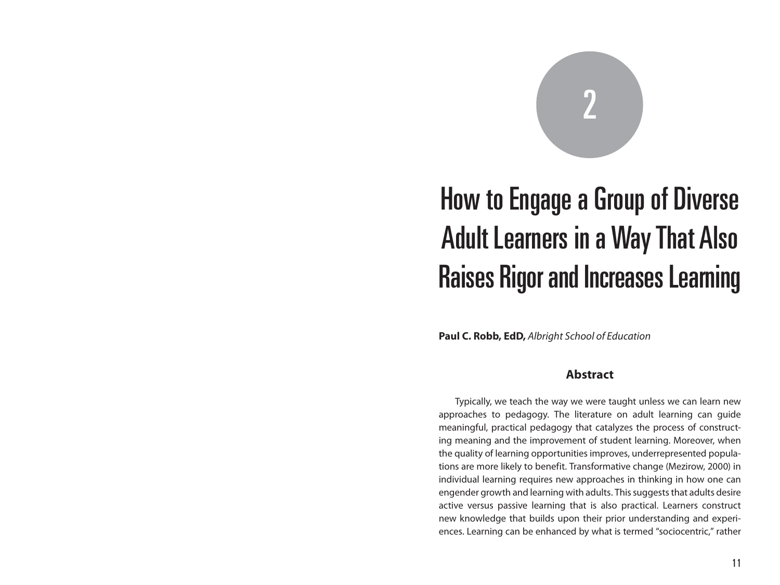# 2

# How to Engage a Group of Diverse Adult Learners in a Way That Also Raises Rigor and Increases Learning

**Paul C. Robb, EdD,** *Albright School of Education*

#### **Abstract**

Typically, we teach the way we were taught unless we can learn new approaches to pedagogy. The literature on adult learning can guide meaningful, practical pedagogy that catalyzes the process of constructing meaning and the improvement of student learning. Moreover, when the quality of learning opportunities improves, underrepresented populations are more likely to benefit. Transformative change (Mezirow, 2000) in individual learning requires new approaches in thinking in how one can engender growth and learning with adults. This suggests that adults desire active versus passive learning that is also practical. Learners construct new knowledge that builds upon their prior understanding and experiences. Learning can be enhanced by what is termed "sociocentric," rather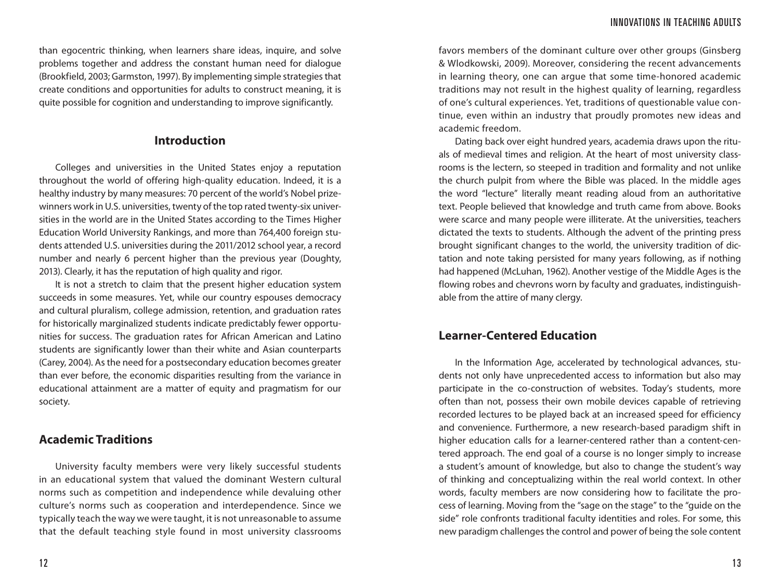than egocentric thinking, when learners share ideas, inquire, and solve problems together and address the constant human need for dialogue (Brookfield, 2003; Garmston, 1997). By implementing simple strategies that create conditions and opportunities for adults to construct meaning, it is quite possible for cognition and understanding to improve significantly.

#### **Introduction**

Colleges and universities in the United States enjoy a reputation throughout the world of offering high-quality education. Indeed, it is a healthy industry by many measures: 70 percent of the world's Nobel prizewinners work in U.S. universities, twenty of the top rated twenty-six universities in the world are in the United States according to the Times Higher Education World University Rankings, and more than 764,400 foreign students attended U.S. universities during the 2011/2012 school year, a record number and nearly 6 percent higher than the previous year (Doughty, 2013). Clearly, it has the reputation of high quality and rigor.

It is not a stretch to claim that the present higher education system succeeds in some measures. Yet, while our country espouses democracy and cultural pluralism, college admission, retention, and graduation rates for historically marginalized students indicate predictably fewer opportunities for success. The graduation rates for African American and Latino students are significantly lower than their white and Asian counterparts (Carey, 2004). As the need for a postsecondary education becomes greater than ever before, the economic disparities resulting from the variance in educational attainment are a matter of equity and pragmatism for our society.

## **Academic Traditions**

University faculty members were very likely successful students in an educational system that valued the dominant Western cultural norms such as competition and independence while devaluing other culture's norms such as cooperation and interdependence. Since we typically teach the way we were taught, it is not unreasonable to assume that the default teaching style found in most university classrooms

favors members of the dominant culture over other groups (Ginsberg & Wlodkowski, 2009). Moreover, considering the recent advancements in learning theory, one can argue that some time-honored academic traditions may not result in the highest quality of learning, regardless of one's cultural experiences. Yet, traditions of questionable value continue, even within an industry that proudly promotes new ideas and academic freedom.

Dating back over eight hundred years, academia draws upon the rituals of medieval times and religion. At the heart of most university classrooms is the lectern, so steeped in tradition and formality and not unlike the church pulpit from where the Bible was placed. In the middle ages the word "lecture" literally meant reading aloud from an authoritative text. People believed that knowledge and truth came from above. Books were scarce and many people were illiterate. At the universities, teachers dictated the texts to students. Although the advent of the printing press brought significant changes to the world, the university tradition of dictation and note taking persisted for many years following, as if nothing had happened (McLuhan, 1962). Another vestige of the Middle Ages is the flowing robes and chevrons worn by faculty and graduates, indistinguishable from the attire of many clergy.

# **Learner-Centered Education**

In the Information Age, accelerated by technological advances, students not only have unprecedented access to information but also may participate in the co-construction of websites. Today's students, more often than not, possess their own mobile devices capable of retrieving recorded lectures to be played back at an increased speed for efficiency and convenience. Furthermore, a new research-based paradigm shift in higher education calls for a learner-centered rather than a content-centered approach. The end goal of a course is no longer simply to increase a student's amount of knowledge, but also to change the student's way of thinking and conceptualizing within the real world context. In other words, faculty members are now considering how to facilitate the process of learning. Moving from the "sage on the stage" to the "guide on the side" role confronts traditional faculty identities and roles. For some, this new paradigm challenges the control and power of being the sole content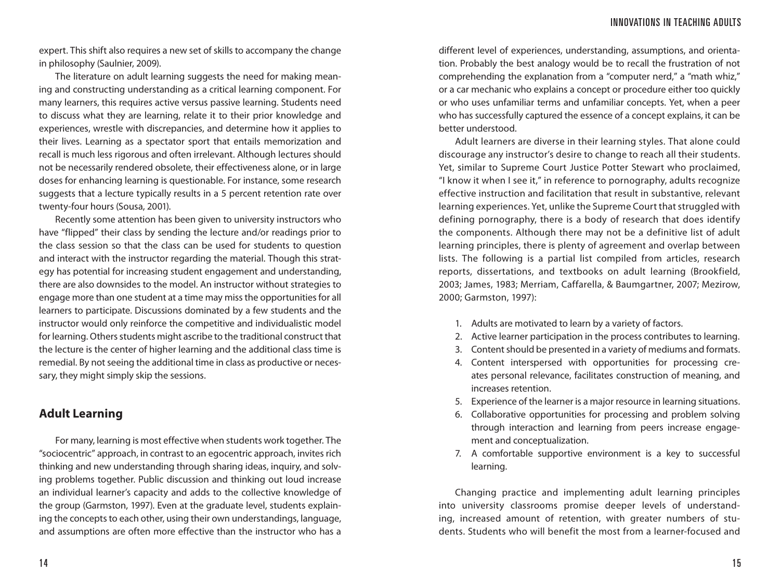expert. This shift also requires a new set of skills to accompany the change in philosophy (Saulnier, 2009).

The literature on adult learning suggests the need for making meaning and constructing understanding as a critical learning component. For many learners, this requires active versus passive learning. Students need to discuss what they are learning, relate it to their prior knowledge and experiences, wrestle with discrepancies, and determine how it applies to their lives. Learning as a spectator sport that entails memorization and recall is much less rigorous and often irrelevant. Although lectures should not be necessarily rendered obsolete, their effectiveness alone, or in large doses for enhancing learning is questionable. For instance, some research suggests that a lecture typically results in a 5 percent retention rate over twenty-four hours (Sousa, 2001).

Recently some attention has been given to university instructors who have "flipped" their class by sending the lecture and/or readings prior to the class session so that the class can be used for students to question and interact with the instructor regarding the material. Though this strategy has potential for increasing student engagement and understanding, there are also downsides to the model. An instructor without strategies to engage more than one student at a time may miss the opportunities for all learners to participate. Discussions dominated by a few students and the instructor would only reinforce the competitive and individualistic model for learning. Others students might ascribe to the traditional construct that the lecture is the center of higher learning and the additional class time is remedial. By not seeing the additional time in class as productive or necessary, they might simply skip the sessions.

## **Adult Learning**

For many, learning is most effective when students work together. The "sociocentric" approach, in contrast to an egocentric approach, invites rich thinking and new understanding through sharing ideas, inquiry, and solving problems together. Public discussion and thinking out loud increase an individual learner's capacity and adds to the collective knowledge of the group (Garmston, 1997). Even at the graduate level, students explaining the concepts to each other, using their own understandings, language, and assumptions are often more effective than the instructor who has a

different level of experiences, understanding, assumptions, and orientation. Probably the best analogy would be to recall the frustration of not comprehending the explanation from a "computer nerd," a "math whiz," or a car mechanic who explains a concept or procedure either too quickly or who uses unfamiliar terms and unfamiliar concepts. Yet, when a peer who has successfully captured the essence of a concept explains, it can be better understood.

Adult learners are diverse in their learning styles. That alone could discourage any instructor's desire to change to reach all their students. Yet, similar to Supreme Court Justice Potter Stewart who proclaimed, "I know it when I see it," in reference to pornography, adults recognize effective instruction and facilitation that result in substantive, relevant learning experiences. Yet, unlike the Supreme Court that struggled with defining pornography, there is a body of research that does identify the components. Although there may not be a definitive list of adult learning principles, there is plenty of agreement and overlap between lists. The following is a partial list compiled from articles, research reports, dissertations, and textbooks on adult learning (Brookfield, 2003; James, 1983; Merriam, Caffarella, & Baumgartner, 2007; Mezirow, 2000; Garmston, 1997):

- 1. Adults are motivated to learn by a variety of factors.
- 2. Active learner participation in the process contributes to learning.
- 3. Content should be presented in a variety of mediums and formats.
- 4. Content interspersed with opportunities for processing creates personal relevance, facilitates construction of meaning, and increases retention.
- 5. Experience of the learner is a major resource in learning situations.
- 6. Collaborative opportunities for processing and problem solving through interaction and learning from peers increase engagement and conceptualization.
- 7. A comfortable supportive environment is a key to successful learning.

Changing practice and implementing adult learning principles into university classrooms promise deeper levels of understanding, increased amount of retention, with greater numbers of students. Students who will benefit the most from a learner-focused and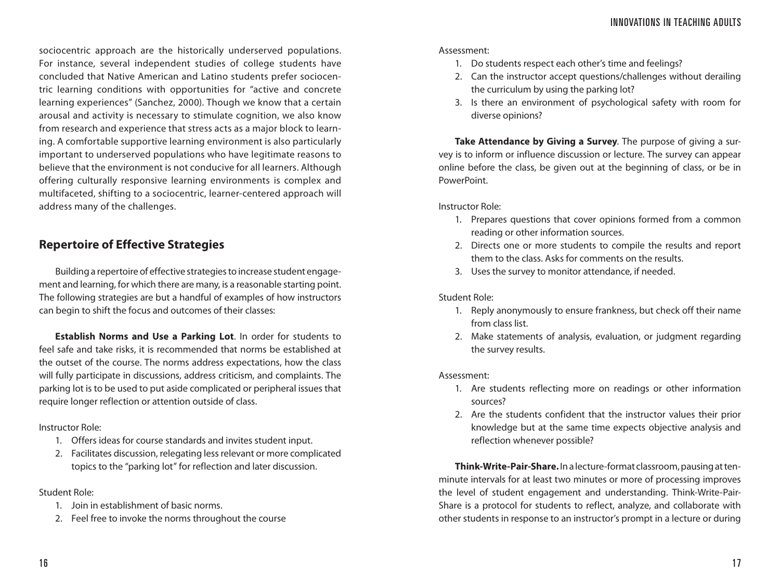sociocentric approach are the historically underserved populations. For instance, several independent studies of college students have concluded that Native American and Latino students prefer sociocentric learning conditions with opportunities for "active and concrete learning experiences" (Sanchez, 2000). Though we know that a certain arousal and activity is necessary to stimulate cognition, we also know from research and experience that stress acts as a major block to learning. A comfortable supportive learning environment is also particularly important to underserved populations who have legitimate reasons to believe that the environment is not conducive for all learners. Although offering culturally responsive learning environments is complex and multifaceted, shifting to a sociocentric, learner-centered approach will address many of the challenges.

# **Repertoire of Effective Strategies**

Building a repertoire of effective strategies to increase student engagement and learning, for which there are many, is a reasonable starting point. The following strategies are but a handful of examples of how instructors can begin to shift the focus and outcomes of their classes:

**Establish Norms and Use a Parking Lot**. In order for students to feel safe and take risks, it is recommended that norms be established at the outset of the course. The norms address expectations, how the class will fully participate in discussions, address criticism, and complaints. The parking lot is to be used to put aside complicated or peripheral issues that require longer reflection or attention outside of class.

#### Instructor Role:

- 1. Offers ideas for course standards and invites student input.
- 2. Facilitates discussion, relegating less relevant or more complicated topics to the "parking lot" for reflection and later discussion.

#### Student Role:

- 1. Join in establishment of basic norms.
- 2. Feel free to invoke the norms throughout the course

#### Assessment:

- 1. Do students respect each other's time and feelings?
- 2. Can the instructor accept questions/challenges without derailing the curriculum by using the parking lot?
- 3. Is there an environment of psychological safety with room for diverse opinions?

**Take Attendance by Giving a Survey**. The purpose of giving a survey is to inform or influence discussion or lecture. The survey can appear online before the class, be given out at the beginning of class, or be in PowerPoint.

#### Instructor Role:

- 1. Prepares questions that cover opinions formed from a common reading or other information sources.
- 2. Directs one or more students to compile the results and report them to the class. Asks for comments on the results.
- 3. Uses the survey to monitor attendance, if needed.

#### Student Role:

- 1. Reply anonymously to ensure frankness, but check off their name from class list.
- 2. Make statements of analysis, evaluation, or judgment regarding the survey results.

#### Assessment:

- 1. Are students reflecting more on readings or other information sources?
- 2. Are the students confident that the instructor values their prior knowledge but at the same time expects objective analysis and reflection whenever possible?

**Think-Write-Pair-Share.** In a lecture-format classroom, pausing at tenminute intervals for at least two minutes or more of processing improves the level of student engagement and understanding. Think-Write-Pair-Share is a protocol for students to reflect, analyze, and collaborate with other students in response to an instructor's prompt in a lecture or during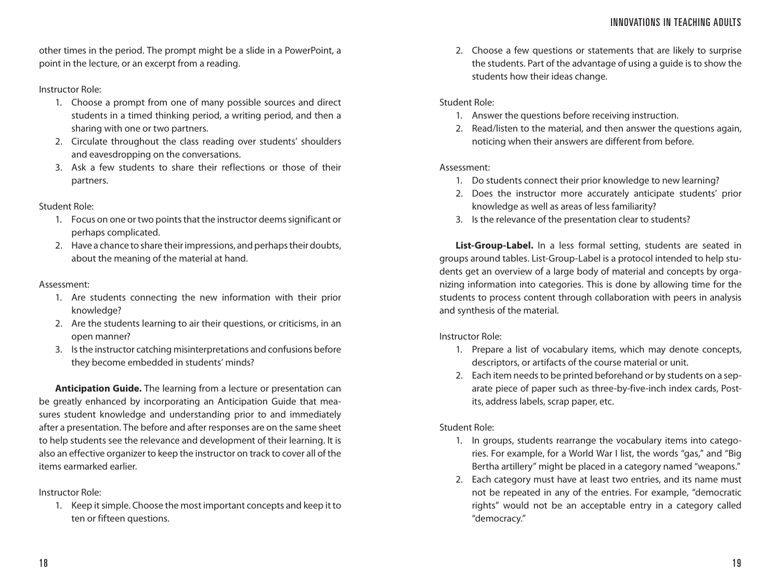other times in the period. The prompt might be a slide in a PowerPoint, a point in the lecture, or an excerpt from a reading.

#### Instructor Role:

- 1. Choose a prompt from one of many possible sources and direct students in a timed thinking period, a writing period, and then a sharing with one or two partners.
- 2. Circulate throughout the class reading over students' shoulders and eavesdropping on the conversations.
- 3. Ask a few students to share their reflections or those of their partners.

#### Student Role:

- 1. Focus on one or two points that the instructor deems significant or perhaps complicated.
- 2. Have a chance to share their impressions, and perhaps their doubts, about the meaning of the material at hand.

#### Assessment:

- 1. Are students connecting the new information with their prior knowledge?
- 2. Are the students learning to air their questions, or criticisms, in an open manner?
- 3. Is the instructor catching misinterpretations and confusions before they become embedded in students' minds?

**Anticipation Guide.** The learning from a lecture or presentation can be greatly enhanced by incorporating an Anticipation Guide that measures student knowledge and understanding prior to and immediately after a presentation. The before and after responses are on the same sheet to help students see the relevance and development of their learning. It is also an effective organizer to keep the instructor on track to cover all of the items earmarked earlier.

Instructor Role:

1. Keep it simple. Choose the most important concepts and keep it to ten or fifteen questions.

2. Choose a few questions or statements that are likely to surprise the students. Part of the advantage of using a guide is to show the students how their ideas change.

#### Student Role:

- 1. Answer the questions before receiving instruction.
- 2. Read/listen to the material, and then answer the questions again, noticing when their answers are different from before.

#### Assessment:

- 1. Do students connect their prior knowledge to new learning?
- 2. Does the instructor more accurately anticipate students' prior knowledge as well as areas of less familiarity?
- 3. Is the relevance of the presentation clear to students?

**List-Group-Label.** In a less formal setting, students are seated in groups around tables. List-Group-Label is a protocol intended to help students get an overview of a large body of material and concepts by organizing information into categories. This is done by allowing time for the students to process content through collaboration with peers in analysis and synthesis of the material.

Instructor Role:

- 1. Prepare a list of vocabulary items, which may denote concepts, descriptors, or artifacts of the course material or unit.
- 2. Each item needs to be printed beforehand or by students on a separate piece of paper such as three-by-five-inch index cards, Postits, address labels, scrap paper, etc.

Student Role:

- 1. In groups, students rearrange the vocabulary items into categories. For example, for a World War I list, the words "gas," and "Big Bertha artillery" might be placed in a category named "weapons."
- 2. Each category must have at least two entries, and its name must not be repeated in any of the entries. For example, "democratic rights" would not be an acceptable entry in a category called "democracy."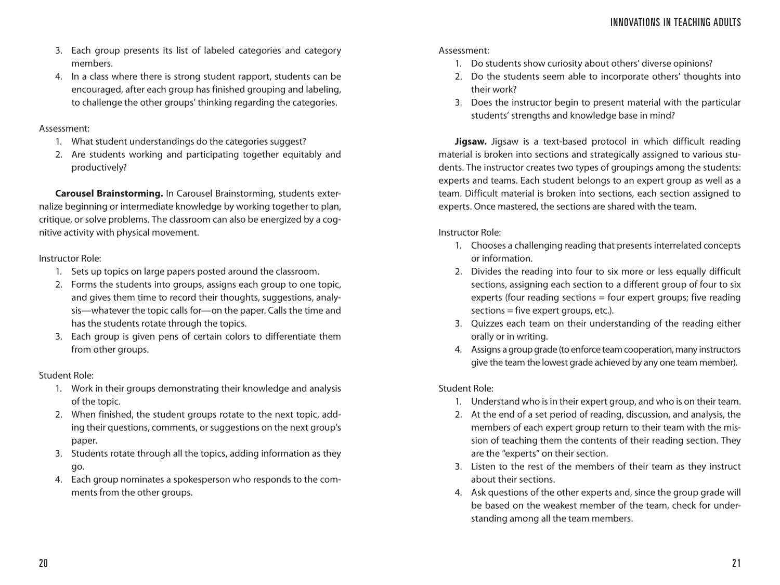- 3. Each group presents its list of labeled categories and category members.
- 4. In a class where there is strong student rapport, students can be encouraged, after each group has finished grouping and labeling, to challenge the other groups' thinking regarding the categories.

#### Assessment:

- 1. What student understandings do the categories suggest?
- 2. Are students working and participating together equitably and productively?

**Carousel Brainstorming.** In Carousel Brainstorming, students externalize beginning or intermediate knowledge by working together to plan, critique, or solve problems. The classroom can also be energized by a cognitive activity with physical movement.

#### Instructor Role:

- 1. Sets up topics on large papers posted around the classroom.
- 2. Forms the students into groups, assigns each group to one topic, and gives them time to record their thoughts, suggestions, analysis—whatever the topic calls for—on the paper. Calls the time and has the students rotate through the topics.
- 3. Each group is given pens of certain colors to differentiate them from other groups.

#### Student Role:

- 1. Work in their groups demonstrating their knowledge and analysis of the topic.
- 2. When finished, the student groups rotate to the next topic, adding their questions, comments, or suggestions on the next group's paper.
- 3. Students rotate through all the topics, adding information as they go.
- 4. Each group nominates a spokesperson who responds to the comments from the other groups.

Assessment:

- 1. Do students show curiosity about others' diverse opinions?
- 2. Do the students seem able to incorporate others' thoughts into their work?
- 3. Does the instructor begin to present material with the particular students' strengths and knowledge base in mind?

**Jigsaw.** Jigsaw is a text-based protocol in which difficult reading material is broken into sections and strategically assigned to various students. The instructor creates two types of groupings among the students: experts and teams. Each student belongs to an expert group as well as a team. Difficult material is broken into sections, each section assigned to experts. Once mastered, the sections are shared with the team.

Instructor Role:

- 1. Chooses a challenging reading that presents interrelated concepts or information.
- 2. Divides the reading into four to six more or less equally difficult sections, assigning each section to a different group of four to six experts (four reading sections  $=$  four expert groups; five reading sections = five expert groups, etc.).
- 3. Quizzes each team on their understanding of the reading either orally or in writing.
- 4. Assigns a group grade (to enforce team cooperation, many instructors give the team the lowest grade achieved by any one team member).

Student Role:

- 1. Understand who is in their expert group, and who is on their team.
- 2. At the end of a set period of reading, discussion, and analysis, the members of each expert group return to their team with the mission of teaching them the contents of their reading section. They are the "experts" on their section.
- 3. Listen to the rest of the members of their team as they instruct about their sections.
- 4. Ask questions of the other experts and, since the group grade will be based on the weakest member of the team, check for understanding among all the team members.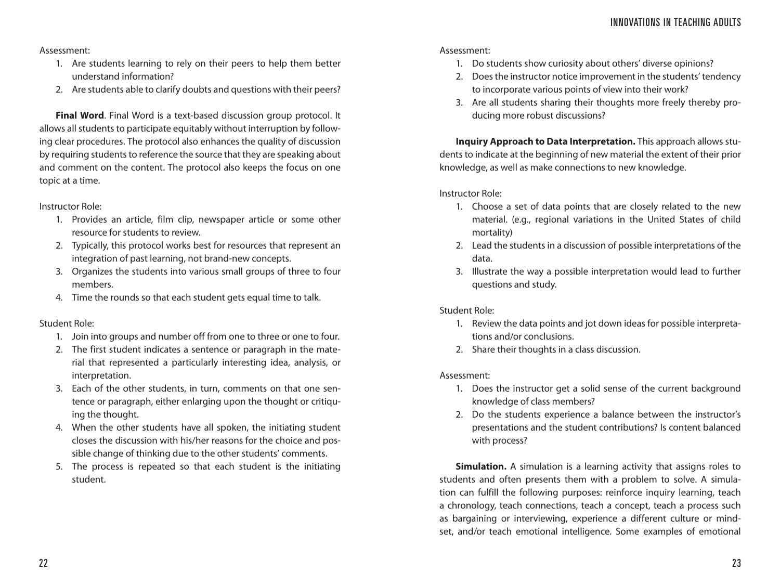#### Assessment:

- 1. Are students learning to rely on their peers to help them better understand information?
- 2. Are students able to clarify doubts and questions with their peers?

**Final Word**. Final Word is a text-based discussion group protocol. It allows all students to participate equitably without interruption by following clear procedures. The protocol also enhances the quality of discussion by requiring students to reference the source that they are speaking about and comment on the content. The protocol also keeps the focus on one topic at a time.

#### Instructor Role:

- 1. Provides an article, film clip, newspaper article or some other resource for students to review.
- 2. Typically, this protocol works best for resources that represent an integration of past learning, not brand-new concepts.
- 3. Organizes the students into various small groups of three to four members.
- 4. Time the rounds so that each student gets equal time to talk.

#### Student Role:

- 1. Join into groups and number off from one to three or one to four.
- 2. The first student indicates a sentence or paragraph in the material that represented a particularly interesting idea, analysis, or interpretation.
- 3. Each of the other students, in turn, comments on that one sentence or paragraph, either enlarging upon the thought or critiquing the thought.
- 4. When the other students have all spoken, the initiating student closes the discussion with his/her reasons for the choice and possible change of thinking due to the other students' comments.
- 5. The process is repeated so that each student is the initiating student.

Assessment:

- 1. Do students show curiosity about others' diverse opinions?
- 2. Does the instructor notice improvement in the students' tendency to incorporate various points of view into their work?
- 3. Are all students sharing their thoughts more freely thereby producing more robust discussions?

**Inquiry Approach to Data Interpretation.** This approach allows students to indicate at the beginning of new material the extent of their prior knowledge, as well as make connections to new knowledge.

#### Instructor Role:

- 1. Choose a set of data points that are closely related to the new material. (e.g., regional variations in the United States of child mortality)
- 2. Lead the students in a discussion of possible interpretations of the data.
- 3. Illustrate the way a possible interpretation would lead to further questions and study.

Student Role:

- 1. Review the data points and jot down ideas for possible interpretations and/or conclusions.
- 2. Share their thoughts in a class discussion.

Assessment:

- 1. Does the instructor get a solid sense of the current background knowledge of class members?
- 2. Do the students experience a balance between the instructor's presentations and the student contributions? Is content balanced with process?

**Simulation.** A simulation is a learning activity that assigns roles to students and often presents them with a problem to solve. A simulation can fulfill the following purposes: reinforce inquiry learning, teach a chronology, teach connections, teach a concept, teach a process such as bargaining or interviewing, experience a different culture or mindset, and/or teach emotional intelligence. Some examples of emotional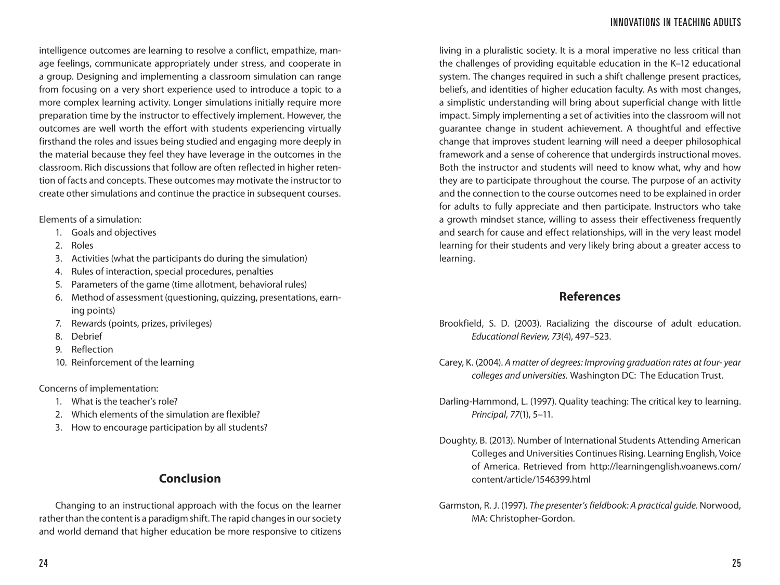intelligence outcomes are learning to resolve a conflict, empathize, manage feelings, communicate appropriately under stress, and cooperate in a group. Designing and implementing a classroom simulation can range from focusing on a very short experience used to introduce a topic to a more complex learning activity. Longer simulations initially require more preparation time by the instructor to effectively implement. However, the outcomes are well worth the effort with students experiencing virtually firsthand the roles and issues being studied and engaging more deeply in the material because they feel they have leverage in the outcomes in the classroom. Rich discussions that follow are often reflected in higher retention of facts and concepts. These outcomes may motivate the instructor to create other simulations and continue the practice in subsequent courses.

Elements of a simulation:

- 1. Goals and objectives
- 2. Roles
- 3. Activities (what the participants do during the simulation)
- 4. Rules of interaction, special procedures, penalties
- 5. Parameters of the game (time allotment, behavioral rules)
- 6. Method of assessment (questioning, quizzing, presentations, earning points)
- 7. Rewards (points, prizes, privileges)
- 8. Debrief
- 9. Reflection
- 10. Reinforcement of the learning

Concerns of implementation:

- 1. What is the teacher's role?
- 2. Which elements of the simulation are flexible?
- 3. How to encourage participation by all students?

# **Conclusion**

Changing to an instructional approach with the focus on the learner rather than the content is a paradigm shift. The rapid changes in our society and world demand that higher education be more responsive to citizens

living in a pluralistic society. It is a moral imperative no less critical than the challenges of providing equitable education in the K–12 educational system. The changes required in such a shift challenge present practices, beliefs, and identities of higher education faculty. As with most changes, a simplistic understanding will bring about superficial change with little impact. Simply implementing a set of activities into the classroom will not guarantee change in student achievement. A thoughtful and effective change that improves student learning will need a deeper philosophical framework and a sense of coherence that undergirds instructional moves. Both the instructor and students will need to know what, why and how they are to participate throughout the course. The purpose of an activity and the connection to the course outcomes need to be explained in order for adults to fully appreciate and then participate. Instructors who take a growth mindset stance, willing to assess their effectiveness frequently and search for cause and effect relationships, will in the very least model learning for their students and very likely bring about a greater access to learning.

# **References**

- Brookfield, S. D. (2003). Racializing the discourse of adult education. *Educational Review, 73*(4), 497–523.
- Carey, K. (2004). *A matter of degrees: Improving graduation rates at four- year colleges and universities.* Washington DC: The Education Trust.
- Darling-Hammond, L. (1997). Quality teaching: The critical key to learning. *Principal*, *77*(1), 5–11.
- Doughty, B. (2013). Number of International Students Attending American Colleges and Universities Continues Rising. Learning English, Voice of America. Retrieved from http://learningenglish.voanews.com/ content/article/1546399.html
- Garmston, R. J. (1997). *The presenter's fieldbook: A practical guide.* Norwood, MA: Christopher-Gordon.